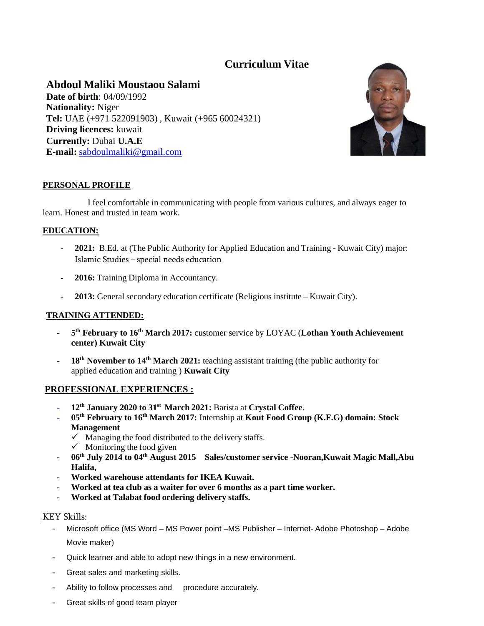# **Curriculum Vitae**

# **Abdoul Maliki Moustaou Salami Date of birth**: 04/09/1992 **Nationality:** Niger **Tel:** UAE (+971 522091903) , Kuwait (+965 60024321) **Driving licences:** kuwait **Currently:** Dubai **U.A.E E-mail:** [sabdoulmaliki@gmail.com](mailto:sabdoulmaliki@gmail.com)



# **PERSONAL PROFILE**

I feel comfortable in communicating with people from various cultures, and always eager to learn. Honest and trusted in team work.

## **EDUCATION:**

- **2021:** B.Ed. at (The Public Authority for Applied Education and Training Kuwait City) major: Islamic Studies – special needs education
- **2016:** Training Diploma in Accountancy.
- **2013:** General secondary education certificate (Religious institute Kuwait City).

#### **TRAINING ATTENDED:**

- **5 th February to 16th March 2017:** customer service by LOYAC (**Lothan Youth Achievement center) Kuwait City**
- **18th November to 14th March 2021:** teaching assistant training (the public authority for applied education and training ) **Kuwait City**

## **PROFESSIONAL EXPERIENCES :**

- **12th January 2020 to 31st March 2021:** Barista at **Crystal Coffee**.
- **05th February to 16th March 2017:** Internship at **Kout Food Group (K.F.G) domain: Stock Management**
	- $\checkmark$  Managing the food distributed to the delivery staffs.
	- $\checkmark$  Monitoring the food given
- **06th July 2014 to 04th August 2015 Sales/customer service -Nooran,Kuwait Magic Mall,Abu Halifa,**
- **Worked warehouse attendants for IKEA Kuwait.**
- **Worked at tea club as a waiter for over 6 months as a part time worker.**
- **Worked at Talabat food ordering delivery staffs.**

#### KEY Skills:

- Microsoft office (MS Word MS Power point –MS Publisher Internet- Adobe Photoshop Adobe Movie maker)
- Quick learner and able to adopt new things in a new environment.
- Great sales and marketing skills.
- Ability to follow processes and procedure accurately.
- Great skills of good team player